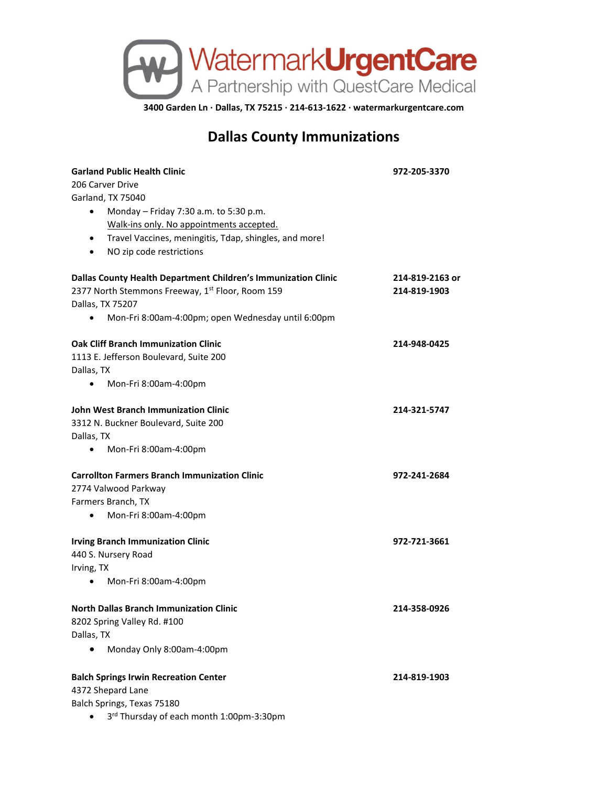

**3400 Garden Ln · Dallas, TX 75215 · 214-613-1622 · watermarkurgentcare.com**

## **Dallas County Immunizations**

| <b>Garland Public Health Clinic</b>                                 | 972-205-3370    |
|---------------------------------------------------------------------|-----------------|
| 206 Carver Drive                                                    |                 |
| Garland, TX 75040                                                   |                 |
| Monday - Friday 7:30 a.m. to 5:30 p.m.<br>$\bullet$                 |                 |
| Walk-ins only. No appointments accepted.                            |                 |
| Travel Vaccines, meningitis, Tdap, shingles, and more!<br>$\bullet$ |                 |
| NO zip code restrictions<br>$\bullet$                               |                 |
| Dallas County Health Department Children's Immunization Clinic      | 214-819-2163 or |
| 2377 North Stemmons Freeway, 1st Floor, Room 159                    | 214-819-1903    |
| Dallas, TX 75207                                                    |                 |
| Mon-Fri 8:00am-4:00pm; open Wednesday until 6:00pm                  |                 |
| <b>Oak Cliff Branch Immunization Clinic</b>                         | 214-948-0425    |
| 1113 E. Jefferson Boulevard, Suite 200                              |                 |
| Dallas, TX                                                          |                 |
| Mon-Fri 8:00am-4:00pm<br>٠                                          |                 |
| John West Branch Immunization Clinic                                | 214-321-5747    |
| 3312 N. Buckner Boulevard, Suite 200                                |                 |
| Dallas, TX                                                          |                 |
| Mon-Fri 8:00am-4:00pm<br>$\bullet$                                  |                 |
| <b>Carrollton Farmers Branch Immunization Clinic</b>                | 972-241-2684    |
| 2774 Valwood Parkway                                                |                 |
| Farmers Branch, TX                                                  |                 |
| Mon-Fri 8:00am-4:00pm<br>$\bullet$                                  |                 |
| <b>Irving Branch Immunization Clinic</b>                            | 972-721-3661    |
| 440 S. Nursery Road                                                 |                 |
| Irving, TX                                                          |                 |
| Mon-Fri 8:00am-4:00pm<br>$\bullet$                                  |                 |
| <b>North Dallas Branch Immunization Clinic</b>                      | 214-358-0926    |
| 8202 Spring Valley Rd. #100                                         |                 |
| Dallas, TX                                                          |                 |
| Monday Only 8:00am-4:00pm                                           |                 |
| <b>Balch Springs Irwin Recreation Center</b>                        | 214-819-1903    |
| 4372 Shepard Lane                                                   |                 |
| Balch Springs, Texas 75180                                          |                 |
| 3rd Thursday of each month 1:00pm-3:30pm                            |                 |
|                                                                     |                 |